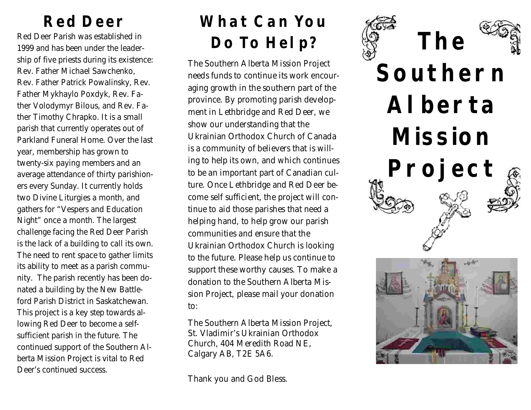Red Deer Parish was established in 1999 and has been under the leadership of five priests during its existence: Rev. Father Michael Sawchenko, Rev. Father Patrick Powalinsky, Rev. Father Mykhaylo Poxdyk, Rev. Father Volodymyr Bilous, and Rev. Father Timothy Chrapko. It is a small parish that currently operates out of Parkland Funeral Home. Over the last year, membership has grown to twenty-six paying members and an average attendance of thirty parishioners every Sunday. It currently holds two Divine Liturgies a month, and gathers for "Vespers and Education Night" once a month. The largest challenge facing the Red Deer Parish is the lack of a building to call its own. The need to rent space to gather limits its ability to meet as a parish community. The parish recently has been donated a building by the New Battleford Parish District in Saskatchewan. This project is a key step towards allowing Red Deer to become a selfsufficient parish in the future. The continued support of the Southern Alberta Mission Project is vital to Red Deer's continued success.

## **Red Deer What Can You Do To Help?**

The Southern Alberta Mission Project needs funds to continue its work encouraging growth in the southern part of the province. By promoting parish development in Lethbridge and Red Deer, we show our understanding that the Ukrainian Orthodox Church of Canada is a community of believers that is willing to help its own, and which continues to be an important part of Canadian culture. Once Lethbridge and Red Deer become self sufficient, the project will continue to aid those parishes that need a helping hand, to help grow our parish communities and ensure that the Ukrainian Orthodox Church is looking to the future. Please help us continue to support these worthy causes. To make a donation to the Southern Alberta Mission Project, please mail your donation to:

The Southern Alberta Mission Project, St. Vladimir's Ukrainian Orthodox Church, 404 Meredith Road NE, Calgary AB, T2E 5A6.

Thank you and God Bless.